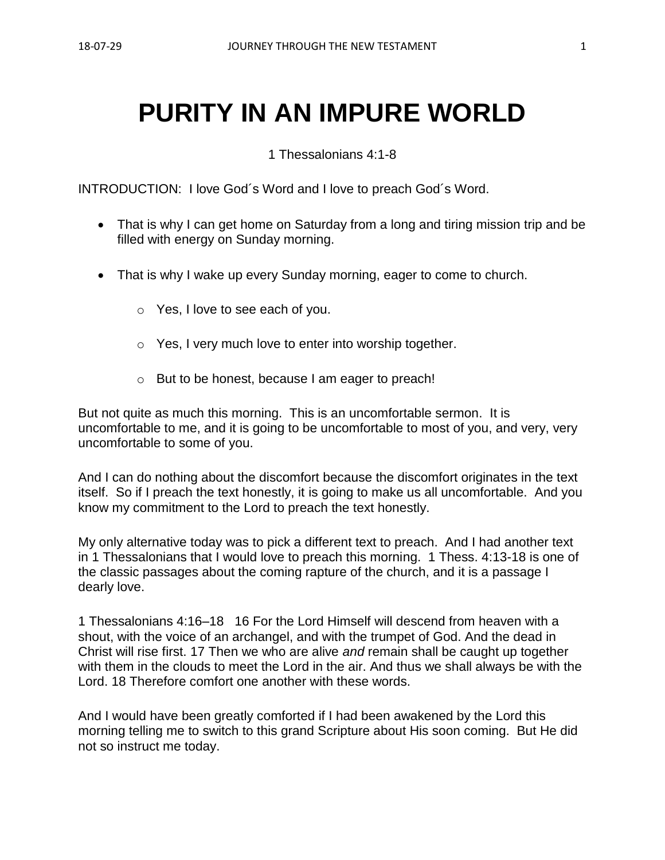# **PURITY IN AN IMPURE WORLD**

1 Thessalonians 4:1-8

INTRODUCTION: I love God´s Word and I love to preach God´s Word.

- That is why I can get home on Saturday from a long and tiring mission trip and be filled with energy on Sunday morning.
- That is why I wake up every Sunday morning, eager to come to church.
	- o Yes, I love to see each of you.
	- o Yes, I very much love to enter into worship together.
	- o But to be honest, because I am eager to preach!

But not quite as much this morning. This is an uncomfortable sermon. It is uncomfortable to me, and it is going to be uncomfortable to most of you, and very, very uncomfortable to some of you.

And I can do nothing about the discomfort because the discomfort originates in the text itself. So if I preach the text honestly, it is going to make us all uncomfortable. And you know my commitment to the Lord to preach the text honestly.

My only alternative today was to pick a different text to preach. And I had another text in 1 Thessalonians that I would love to preach this morning. 1 Thess. 4:13-18 is one of the classic passages about the coming rapture of the church, and it is a passage I dearly love.

1 Thessalonians 4:16–18 16 For the Lord Himself will descend from heaven with a shout, with the voice of an archangel, and with the trumpet of God. And the dead in Christ will rise first. 17 Then we who are alive *and* remain shall be caught up together with them in the clouds to meet the Lord in the air. And thus we shall always be with the Lord. 18 Therefore comfort one another with these words.

And I would have been greatly comforted if I had been awakened by the Lord this morning telling me to switch to this grand Scripture about His soon coming. But He did not so instruct me today.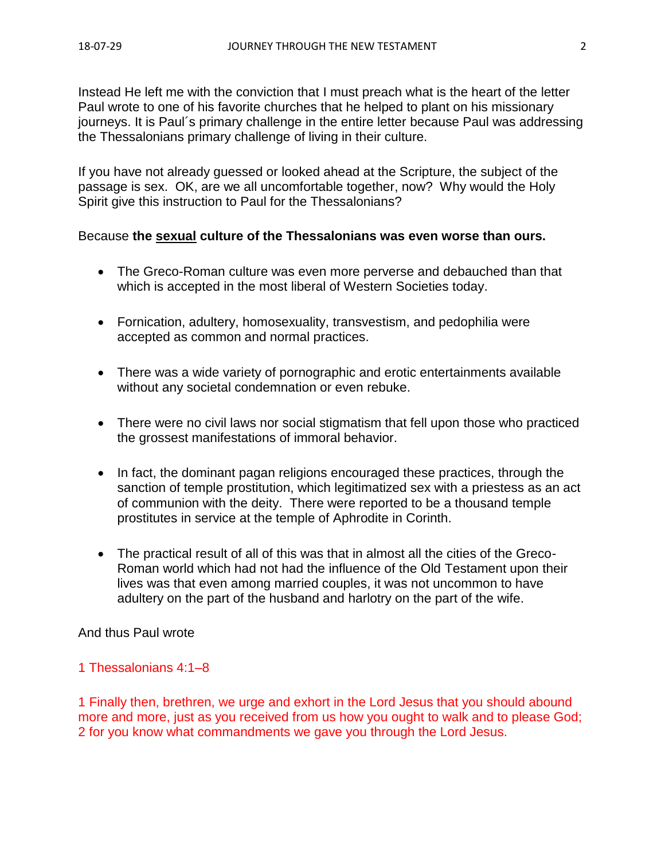Instead He left me with the conviction that I must preach what is the heart of the letter Paul wrote to one of his favorite churches that he helped to plant on his missionary journeys. It is Paul´s primary challenge in the entire letter because Paul was addressing the Thessalonians primary challenge of living in their culture.

If you have not already guessed or looked ahead at the Scripture, the subject of the passage is sex. OK, are we all uncomfortable together, now? Why would the Holy Spirit give this instruction to Paul for the Thessalonians?

### Because **the sexual culture of the Thessalonians was even worse than ours.**

- The Greco-Roman culture was even more perverse and debauched than that which is accepted in the most liberal of Western Societies today.
- Fornication, adultery, homosexuality, transvestism, and pedophilia were accepted as common and normal practices.
- There was a wide variety of pornographic and erotic entertainments available without any societal condemnation or even rebuke.
- There were no civil laws nor social stigmatism that fell upon those who practiced the grossest manifestations of immoral behavior.
- In fact, the dominant pagan religions encouraged these practices, through the sanction of temple prostitution, which legitimatized sex with a priestess as an act of communion with the deity. There were reported to be a thousand temple prostitutes in service at the temple of Aphrodite in Corinth.
- The practical result of all of this was that in almost all the cities of the Greco-Roman world which had not had the influence of the Old Testament upon their lives was that even among married couples, it was not uncommon to have adultery on the part of the husband and harlotry on the part of the wife.

#### And thus Paul wrote

#### 1 Thessalonians 4:1–8

1 Finally then, brethren, we urge and exhort in the Lord Jesus that you should abound more and more, just as you received from us how you ought to walk and to please God; 2 for you know what commandments we gave you through the Lord Jesus.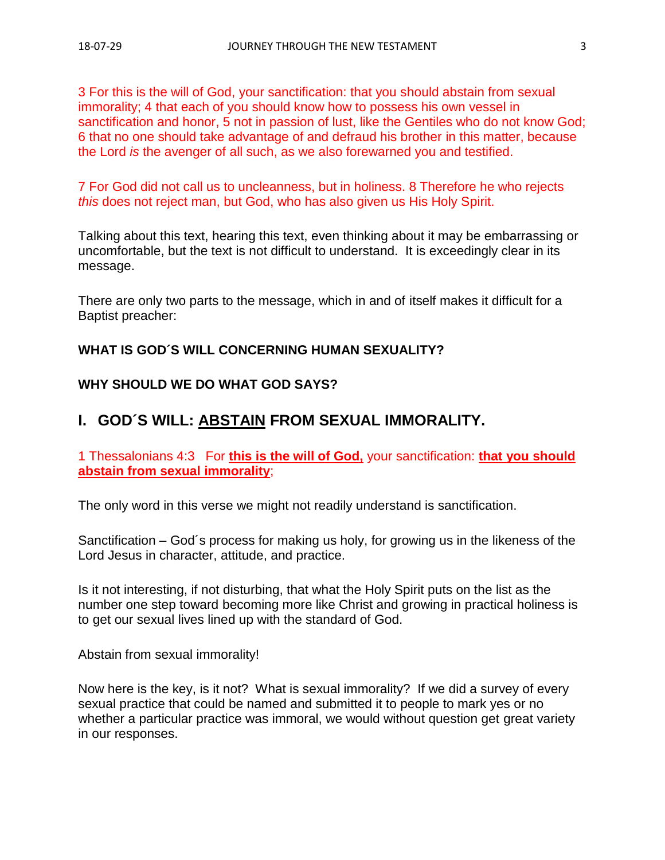3 For this is the will of God, your sanctification: that you should abstain from sexual immorality; 4 that each of you should know how to possess his own vessel in sanctification and honor, 5 not in passion of lust, like the Gentiles who do not know God; 6 that no one should take advantage of and defraud his brother in this matter, because the Lord *is* the avenger of all such, as we also forewarned you and testified.

7 For God did not call us to uncleanness, but in holiness. 8 Therefore he who rejects *this* does not reject man, but God, who has also given us His Holy Spirit.

Talking about this text, hearing this text, even thinking about it may be embarrassing or uncomfortable, but the text is not difficult to understand. It is exceedingly clear in its message.

There are only two parts to the message, which in and of itself makes it difficult for a Baptist preacher:

# **WHAT IS GOD´S WILL CONCERNING HUMAN SEXUALITY?**

# **WHY SHOULD WE DO WHAT GOD SAYS?**

# **I. GOD´S WILL: ABSTAIN FROM SEXUAL IMMORALITY.**

1 Thessalonians 4:3 For **this is the will of God,** your sanctification: **that you should abstain from sexual immorality**;

The only word in this verse we might not readily understand is sanctification.

Sanctification – God´s process for making us holy, for growing us in the likeness of the Lord Jesus in character, attitude, and practice.

Is it not interesting, if not disturbing, that what the Holy Spirit puts on the list as the number one step toward becoming more like Christ and growing in practical holiness is to get our sexual lives lined up with the standard of God.

Abstain from sexual immorality!

Now here is the key, is it not? What is sexual immorality? If we did a survey of every sexual practice that could be named and submitted it to people to mark yes or no whether a particular practice was immoral, we would without question get great variety in our responses.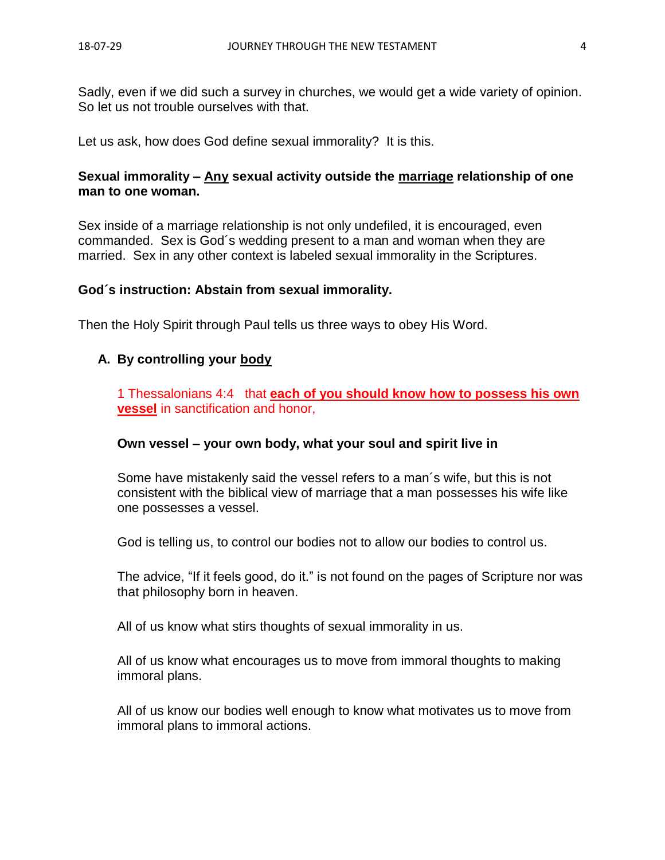Sadly, even if we did such a survey in churches, we would get a wide variety of opinion. So let us not trouble ourselves with that.

Let us ask, how does God define sexual immorality? It is this.

#### **Sexual immorality – Any sexual activity outside the marriage relationship of one man to one woman.**

Sex inside of a marriage relationship is not only undefiled, it is encouraged, even commanded. Sex is God´s wedding present to a man and woman when they are married. Sex in any other context is labeled sexual immorality in the Scriptures.

#### **God´s instruction: Abstain from sexual immorality.**

Then the Holy Spirit through Paul tells us three ways to obey His Word.

### **A. By controlling your body**

1 Thessalonians 4:4 that **each of you should know how to possess his own vessel** in sanctification and honor,

#### **Own vessel – your own body, what your soul and spirit live in**

Some have mistakenly said the vessel refers to a man´s wife, but this is not consistent with the biblical view of marriage that a man possesses his wife like one possesses a vessel.

God is telling us, to control our bodies not to allow our bodies to control us.

The advice, "If it feels good, do it." is not found on the pages of Scripture nor was that philosophy born in heaven.

All of us know what stirs thoughts of sexual immorality in us.

All of us know what encourages us to move from immoral thoughts to making immoral plans.

All of us know our bodies well enough to know what motivates us to move from immoral plans to immoral actions.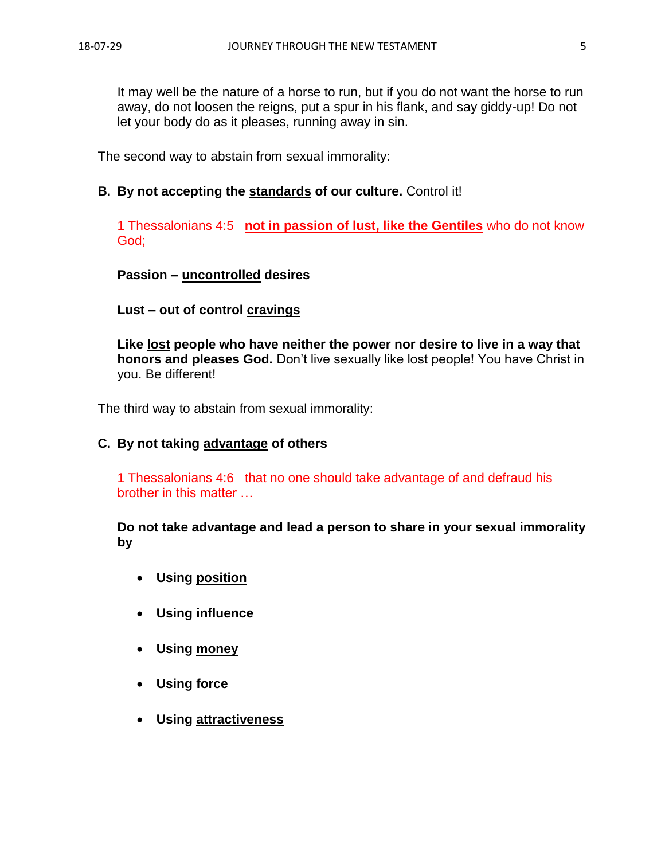It may well be the nature of a horse to run, but if you do not want the horse to run away, do not loosen the reigns, put a spur in his flank, and say giddy-up! Do not let your body do as it pleases, running away in sin.

The second way to abstain from sexual immorality:

## **B. By not accepting the standards of our culture.** Control it!

1 Thessalonians 4:5 **not in passion of lust, like the Gentiles** who do not know God;

### **Passion – uncontrolled desires**

### **Lust – out of control cravings**

**Like lost people who have neither the power nor desire to live in a way that honors and pleases God.** Don't live sexually like lost people! You have Christ in you. Be different!

The third way to abstain from sexual immorality:

#### **C. By not taking advantage of others**

1 Thessalonians 4:6 that no one should take advantage of and defraud his brother in this matter …

**Do not take advantage and lead a person to share in your sexual immorality by** 

- **Using position**
- **Using influence**
- **Using money**
- **Using force**
- **Using attractiveness**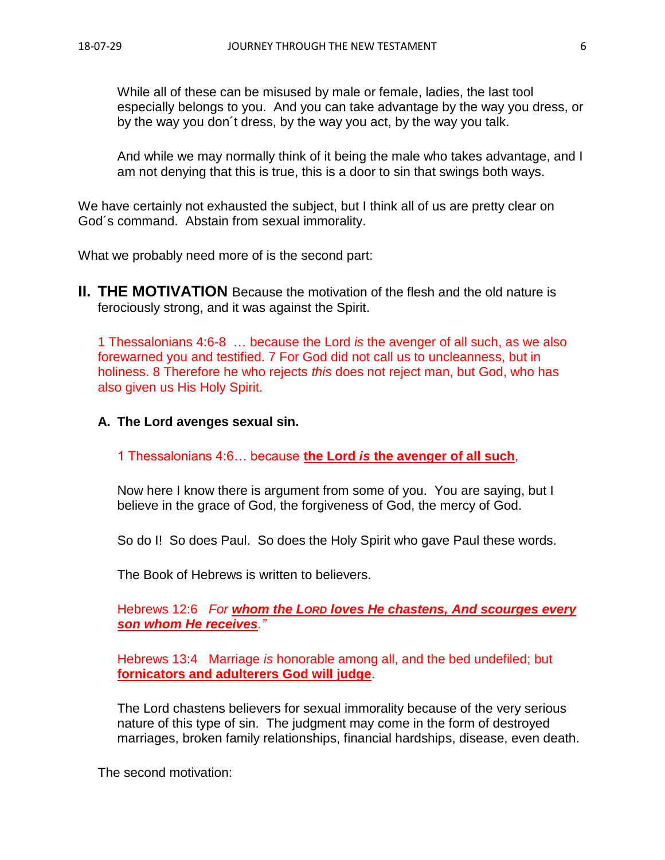While all of these can be misused by male or female, ladies, the last tool especially belongs to you. And you can take advantage by the way you dress, or by the way you don´t dress, by the way you act, by the way you talk.

And while we may normally think of it being the male who takes advantage, and I am not denying that this is true, this is a door to sin that swings both ways.

We have certainly not exhausted the subject, but I think all of us are pretty clear on God´s command. Abstain from sexual immorality.

What we probably need more of is the second part:

**II. THE MOTIVATION** Because the motivation of the flesh and the old nature is ferociously strong, and it was against the Spirit.

1 Thessalonians 4:6-8 … because the Lord *is* the avenger of all such, as we also forewarned you and testified. 7 For God did not call us to uncleanness, but in holiness. 8 Therefore he who rejects *this* does not reject man, but God, who has also given us His Holy Spirit.

#### **A. The Lord avenges sexual sin.**

1 Thessalonians 4:6… because **the Lord** *is* **the avenger of all such**,

Now here I know there is argument from some of you. You are saying, but I believe in the grace of God, the forgiveness of God, the mercy of God.

So do I! So does Paul. So does the Holy Spirit who gave Paul these words.

The Book of Hebrews is written to believers.

Hebrews 12:6 *For whom the LORD loves He chastens, And scourges every son whom He receives."*

Hebrews 13:4 Marriage *is* honorable among all, and the bed undefiled; but **fornicators and adulterers God will judge**.

The Lord chastens believers for sexual immorality because of the very serious nature of this type of sin. The judgment may come in the form of destroyed marriages, broken family relationships, financial hardships, disease, even death.

The second motivation: